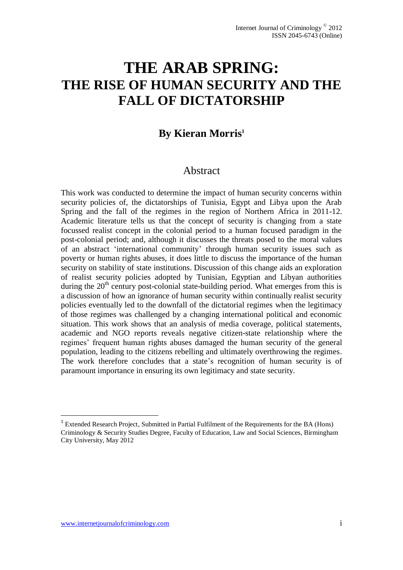# **THE ARAB SPRING: THE RISE OF HUMAN SECURITY AND THE FALL OF DICTATORSHIP**

## **By Kieran Morris<sup>1</sup>**

### Abstract

This work was conducted to determine the impact of human security concerns within security policies of, the dictatorships of Tunisia, Egypt and Libya upon the Arab Spring and the fall of the regimes in the region of Northern Africa in 2011-12. Academic literature tells us that the concept of security is changing from a state focussed realist concept in the colonial period to a human focused paradigm in the post-colonial period; and, although it discusses the threats posed to the moral values of an abstract 'international community' through human security issues such as poverty or human rights abuses, it does little to discuss the importance of the human security on stability of state institutions. Discussion of this change aids an exploration of realist security policies adopted by Tunisian, Egyptian and Libyan authorities during the  $20<sup>th</sup>$  century post-colonial state-building period. What emerges from this is a discussion of how an ignorance of human security within continually realist security policies eventually led to the downfall of the dictatorial regimes when the legitimacy of those regimes was challenged by a changing international political and economic situation. This work shows that an analysis of media coverage, political statements, academic and NGO reports reveals negative citizen-state relationship where the regimes' frequent human rights abuses damaged the human security of the general population, leading to the citizens rebelling and ultimately overthrowing the regimes. The work therefore concludes that a state's recognition of human security is of paramount importance in ensuring its own legitimacy and state security.

<u>.</u>

<sup>&</sup>lt;sup>1</sup> Extended Research Project, Submitted in Partial Fulfilment of the Requirements for the BA (Hons) Criminology & Security Studies Degree, Faculty of Education, Law and Social Sciences, Birmingham City University, May 2012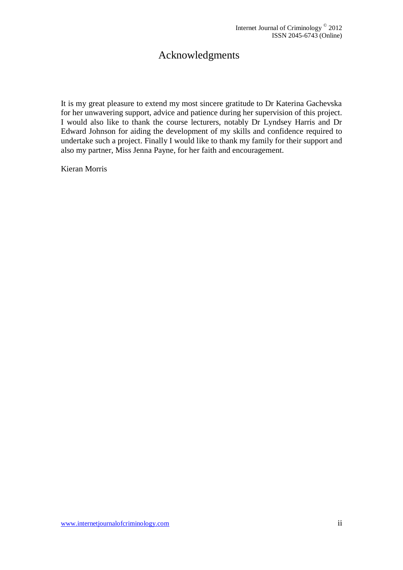## Acknowledgments

It is my great pleasure to extend my most sincere gratitude to Dr Katerina Gachevska for her unwavering support, advice and patience during her supervision of this project. I would also like to thank the course lecturers, notably Dr Lyndsey Harris and Dr Edward Johnson for aiding the development of my skills and confidence required to undertake such a project. Finally I would like to thank my family for their support and also my partner, Miss Jenna Payne, for her faith and encouragement.

Kieran Morris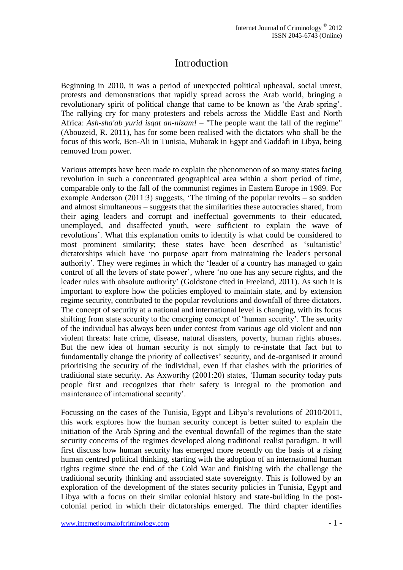### Introduction

Beginning in 2010, it was a period of unexpected political upheaval, social unrest, protests and demonstrations that rapidly spread across the Arab world, bringing a revolutionary spirit of political change that came to be known as 'the Arab spring'. The rallying cry for many protesters and rebels across the Middle East and North Africa: *Ash-sha'ab yurid isqat an-nizam!* – "The people want the fall of the regime" (Abouzeid, R. 2011), has for some been realised with the dictators who shall be the focus of this work, Ben-Ali in Tunisia, Mubarak in Egypt and Gaddafi in Libya, being removed from power.

Various attempts have been made to explain the phenomenon of so many states facing revolution in such a concentrated geographical area within a short period of time, comparable only to the fall of the communist regimes in Eastern Europe in 1989. For example Anderson (2011:3) suggests, 'The timing of the popular revolts – so sudden and almost simultaneous – suggests that the similarities these autocracies shared, from their aging leaders and corrupt and ineffectual governments to their educated, unemployed, and disaffected youth, were sufficient to explain the wave of revolutions'. What this explanation omits to identify is what could be considered to most prominent similarity; these states have been described as 'sultanistic' dictatorships which have 'no purpose apart from maintaining the leader's personal authority'. They were regimes in which the 'leader of a country has managed to gain control of all the levers of state power', where 'no one has any secure rights, and the leader rules with absolute authority' (Goldstone cited in Freeland, 2011). As such it is important to explore how the policies employed to maintain state, and by extension regime security, contributed to the popular revolutions and downfall of three dictators. The concept of security at a national and international level is changing, with its focus shifting from state security to the emerging concept of 'human security'. The security of the individual has always been under contest from various age old violent and non violent threats: hate crime, disease, natural disasters, poverty, human rights abuses. But the new idea of human security is not simply to re-instate that fact but to fundamentally change the priority of collectives' security, and de-organised it around prioritising the security of the individual, even if that clashes with the priorities of traditional state security. As Axworthy (2001:20) states, 'Human security today puts people first and recognizes that their safety is integral to the promotion and maintenance of international security'.

Focussing on the cases of the Tunisia, Egypt and Libya's revolutions of 2010/2011, this work explores how the human security concept is better suited to explain the initiation of the Arab Spring and the eventual downfall of the regimes than the state security concerns of the regimes developed along traditional realist paradigm. It will first discuss how human security has emerged more recently on the basis of a rising human centred political thinking, starting with the adoption of an international human rights regime since the end of the Cold War and finishing with the challenge the traditional security thinking and associated state sovereignty. This is followed by an exploration of the development of the states security policies in Tunisia, Egypt and Libya with a focus on their similar colonial history and state-building in the postcolonial period in which their dictatorships emerged. The third chapter identifies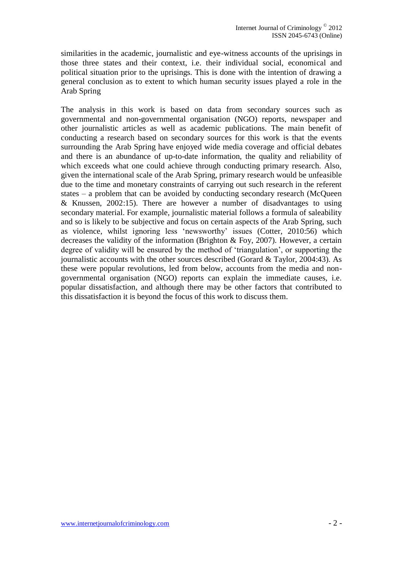similarities in the academic, journalistic and eye-witness accounts of the uprisings in those three states and their context, i.e. their individual social, economical and political situation prior to the uprisings. This is done with the intention of drawing a general conclusion as to extent to which human security issues played a role in the Arab Spring

The analysis in this work is based on data from secondary sources such as governmental and non-governmental organisation (NGO) reports, newspaper and other journalistic articles as well as academic publications. The main benefit of conducting a research based on secondary sources for this work is that the events surrounding the Arab Spring have enjoyed wide media coverage and official debates and there is an abundance of up-to-date information, the quality and reliability of which exceeds what one could achieve through conducting primary research. Also, given the international scale of the Arab Spring, primary research would be unfeasible due to the time and monetary constraints of carrying out such research in the referent states – a problem that can be avoided by conducting secondary research (McQueen & Knussen, 2002:15). There are however a number of disadvantages to using secondary material. For example, journalistic material follows a formula of saleability and so is likely to be subjective and focus on certain aspects of the Arab Spring, such as violence, whilst ignoring less 'newsworthy' issues (Cotter, 2010:56) which decreases the validity of the information (Brighton & Foy, 2007). However, a certain degree of validity will be ensured by the method of 'triangulation', or supporting the journalistic accounts with the other sources described (Gorard & Taylor, 2004:43). As these were popular revolutions, led from below, accounts from the media and nongovernmental organisation (NGO) reports can explain the immediate causes, i.e. popular dissatisfaction, and although there may be other factors that contributed to this dissatisfaction it is beyond the focus of this work to discuss them.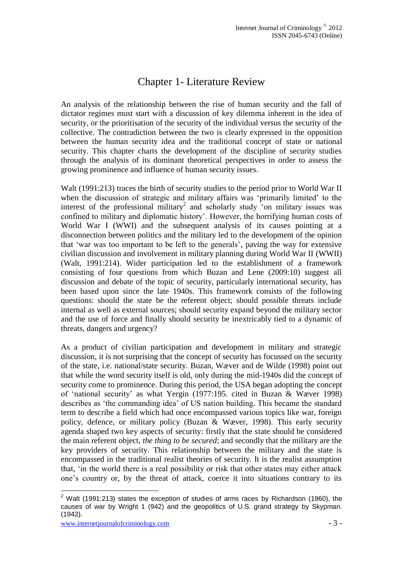# Chapter 1- Literature Review

An analysis of the relationship between the rise of human security and the fall of dictator regimes must start with a discussion of key dilemma inherent in the idea of security, or the prioritisation of the security of the individual versus the security of the collective. The contradiction between the two is clearly expressed in the opposition between the human security idea and the traditional concept of state or national security. This chapter charts the development of the discipline of security studies through the analysis of its dominant theoretical perspectives in order to assess the growing prominence and influence of human security issues.

Walt (1991:213) traces the birth of security studies to the period prior to World War II when the discussion of strategic and military affairs was 'primarily limited' to the interest of the professional military<sup>2</sup> and scholarly study 'on military issues was confined to military and diplomatic history'. However, the horrifying human costs of World War I (WWI) and the subsequent analysis of its causes pointing at a disconnection between politics and the military led to the development of the opinion that 'war was too important to be left to the generals', paving the way for extensive civilian discussion and involvement in military planning during World War II (WWII) (Walt, 1991:214). Wider participation led to the establishment of a framework consisting of four questions from which Buzan and Lene (2009:10) suggest all discussion and debate of the topic of security, particularly international security, has been based upon since the late 1940s. This framework consists of the following questions: should the state be the referent object; should possible threats include internal as well as external sources; should security expand beyond the military sector and the use of force and finally should security be inextricably tied to a dynamic of threats, dangers and urgency?

As a product of civilian participation and development in military and strategic discussion, it is not surprising that the concept of security has focussed on the security of the state, i.e. national/state security. Buzan, Wæver and de Wilde (1998) point out that while the word security itself is old, only during the mid-1940s did the concept of security come to prominence. During this period, the USA began adopting the concept of 'national security' as what Yergin (1977:195. cited in Buzan & Wæver 1998) describes as 'the commanding idea' of US nation building. This became the standard term to describe a field which had once encompassed various topics like war, foreign policy, defence, or military policy (Buzan & Wæver, 1998). This early security agenda shaped two key aspects of security: firstly that the state should be considered the main referent object, *the thing to be secured*; and secondly that the military are the key providers of security. This relationship between the military and the state is encompassed in the traditional realist theories of security. It is the realist assumption that, 'in the world there is a real possibility or risk that other states may either attack one's country or, by the threat of attack, coerce it into situations contrary to its

<sup>&</sup>lt;u>.</u>  $2$  Walt (1991:213) states the exception of studies of arms races by Richardson (1960), the causes of war by Wright 1 (942) and the geopolitics of U.S. grand strategy by Skypman. (1942).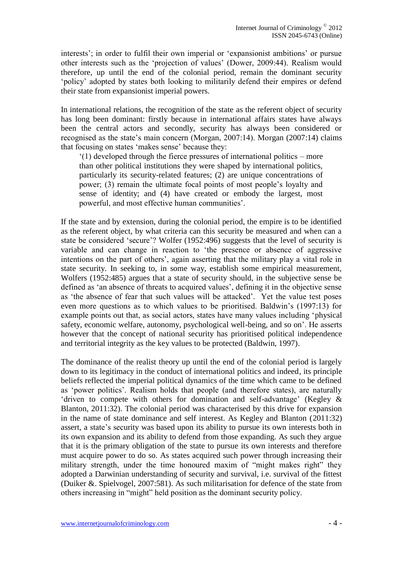interests'; in order to fulfil their own imperial or 'expansionist ambitions' or pursue other interests such as the 'projection of values' (Dower, 2009:44). Realism would therefore, up until the end of the colonial period, remain the dominant security 'policy' adopted by states both looking to militarily defend their empires or defend their state from expansionist imperial powers.

In international relations, the recognition of the state as the referent object of security has long been dominant: firstly because in international affairs states have always been the central actors and secondly, security has always been considered or recognised as the state's main concern (Morgan, 2007:14). Morgan (2007:14) claims that focusing on states 'makes sense' because they:

'(1) developed through the fierce pressures of international politics – more than other political institutions they were shaped by international politics, particularly its security-related features; (2) are unique concentrations of power; (3) remain the ultimate focal points of most people's loyalty and sense of identity; and (4) have created or embody the largest, most powerful, and most effective human communities'.

If the state and by extension, during the colonial period, the empire is to be identified as the referent object, by what criteria can this security be measured and when can a state be considered 'secure'? Wolfer (1952:496) suggests that the level of security is variable and can change in reaction to 'the presence or absence of aggressive intentions on the part of others', again asserting that the military play a vital role in state security. In seeking to, in some way, establish some empirical measurement, Wolfers (1952:485) argues that a state of security should, in the subjective sense be defined as 'an absence of threats to acquired values', defining it in the objective sense as 'the absence of fear that such values will be attacked'. Yet the value test poses even more questions as to which values to be prioritised. Baldwin's (1997:13) for example points out that, as social actors, states have many values including 'physical safety, economic welfare, autonomy, psychological well-being, and so on'. He asserts however that the concept of national security has prioritised political independence and territorial integrity as the key values to be protected (Baldwin, 1997).

The dominance of the realist theory up until the end of the colonial period is largely down to its legitimacy in the conduct of international politics and indeed, its principle beliefs reflected the imperial political dynamics of the time which came to be defined as 'power politics'. Realism holds that people (and therefore states), are naturally 'driven to compete with others for domination and self-advantage' (Kegley & Blanton, 2011:32). The colonial period was characterised by this drive for expansion in the name of state dominance and self interest. As Kegley and Blanton (2011:32) assert, a state's security was based upon its ability to pursue its own interests both in its own expansion and its ability to defend from those expanding. As such they argue that it is the primary obligation of the state to pursue its own interests and therefore must acquire power to do so. As states acquired such power through increasing their military strength, under the time honoured maxim of "might makes right" they adopted a Darwinian understanding of security and survival, i.e. survival of the fittest (Duiker &. Spielvogel, 2007:581). As such militarisation for defence of the state from others increasing in "might" held position as the dominant security policy.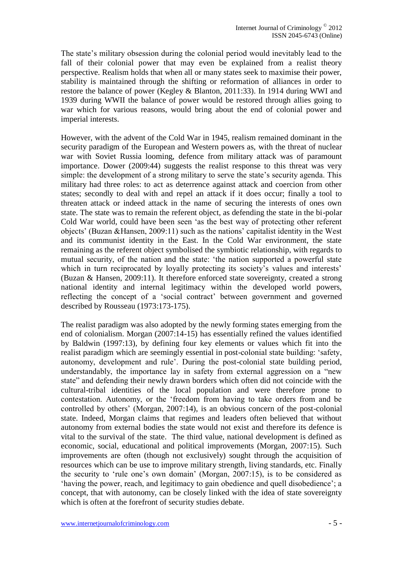The state's military obsession during the colonial period would inevitably lead to the fall of their colonial power that may even be explained from a realist theory perspective. Realism holds that when all or many states seek to maximise their power, stability is maintained through the shifting or reformation of alliances in order to restore the balance of power (Kegley & Blanton, 2011:33). In 1914 during WWI and 1939 during WWII the balance of power would be restored through allies going to war which for various reasons, would bring about the end of colonial power and imperial interests.

However, with the advent of the Cold War in 1945, realism remained dominant in the security paradigm of the European and Western powers as, with the threat of nuclear war with Soviet Russia looming, defence from military attack was of paramount importance. Dower (2009:44) suggests the realist response to this threat was very simple: the development of a strong military to serve the state's security agenda. This military had three roles: to act as deterrence against attack and coercion from other states; secondly to deal with and repel an attack if it does occur; finally a tool to threaten attack or indeed attack in the name of securing the interests of ones own state. The state was to remain the referent object, as defending the state in the bi-polar Cold War world, could have been seen 'as the best way of protecting other referent objects' (Buzan &Hansen, 2009:11) such as the nations' capitalist identity in the West and its communist identity in the East. In the Cold War environment, the state remaining as the referent object symbolised the symbiotic relationship, with regards to mutual security, of the nation and the state: 'the nation supported a powerful state which in turn reciprocated by loyally protecting its society's values and interests' (Buzan & Hansen, 2009:11). It therefore enforced state sovereignty, created a strong national identity and internal legitimacy within the developed world powers, reflecting the concept of a 'social contract' between government and governed described by Rousseau (1973:173-175).

The realist paradigm was also adopted by the newly forming states emerging from the end of colonialism. Morgan (2007:14-15) has essentially refined the values identified by Baldwin (1997:13), by defining four key elements or values which fit into the realist paradigm which are seemingly essential in post-colonial state building: 'safety, autonomy, development and rule'. During the post-colonial state building period, understandably, the importance lay in safety from external aggression on a "new state" and defending their newly drawn borders which often did not coincide with the cultural-tribal identities of the local population and were therefore prone to contestation. Autonomy, or the 'freedom from having to take orders from and be controlled by others' (Morgan, 2007:14), is an obvious concern of the post-colonial state. Indeed, Morgan claims that regimes and leaders often believed that without autonomy from external bodies the state would not exist and therefore its defence is vital to the survival of the state. The third value, national development is defined as economic, social, educational and political improvements (Morgan, 2007:15). Such improvements are often (though not exclusively) sought through the acquisition of resources which can be use to improve military strength, living standards, etc. Finally the security to 'rule one's own domain' (Morgan, 2007:15), is to be considered as 'having the power, reach, and legitimacy to gain obedience and quell disobedience'; a concept, that with autonomy, can be closely linked with the idea of state sovereignty which is often at the forefront of security studies debate.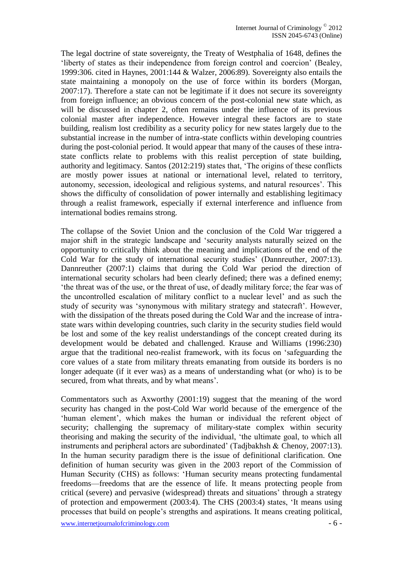The legal doctrine of state sovereignty, the Treaty of Westphalia of 1648, defines the 'liberty of states as their independence from foreign control and coercion' (Bealey, 1999:306. cited in Haynes, 2001:144 & Walzer, 2006:89). Sovereignty also entails the state maintaining a monopoly on the use of force within its borders (Morgan, 2007:17). Therefore a state can not be legitimate if it does not secure its sovereignty from foreign influence; an obvious concern of the post-colonial new state which, as will be discussed in chapter 2, often remains under the influence of its previous colonial master after independence. However integral these factors are to state building, realism lost credibility as a security policy for new states largely due to the substantial increase in the number of intra-state conflicts within developing countries during the post-colonial period. It would appear that many of the causes of these intrastate conflicts relate to problems with this realist perception of state building, authority and legitimacy. Santos (2012:219) states that, 'The origins of these conflicts are mostly power issues at national or international level, related to territory, autonomy, secession, ideological and religious systems, and natural resources'. This shows the difficulty of consolidation of power internally and establishing legitimacy through a realist framework, especially if external interference and influence from international bodies remains strong.

The collapse of the Soviet Union and the conclusion of the Cold War triggered a major shift in the strategic landscape and 'security analysts naturally seized on the opportunity to critically think about the meaning and implications of the end of the Cold War for the study of international security studies' (Dannreuther, 2007:13). Dannreuther (2007:1) claims that during the Cold War period the direction of international security scholars had been clearly defined; there was a defined enemy; 'the threat was of the use, or the threat of use, of deadly military force; the fear was of the uncontrolled escalation of military conflict to a nuclear level' and as such the study of security was 'synonymous with military strategy and statecraft'. However, with the dissipation of the threats posed during the Cold War and the increase of intrastate wars within developing countries, such clarity in the security studies field would be lost and some of the key realist understandings of the concept created during its development would be debated and challenged. Krause and Williams (1996:230) argue that the traditional neo-realist framework, with its focus on 'safeguarding the core values of a state from military threats emanating from outside its borders is no longer adequate (if it ever was) as a means of understanding what (or who) is to be secured, from what threats, and by what means'.

Commentators such as Axworthy (2001:19) suggest that the meaning of the word security has changed in the post-Cold War world because of the emergence of the 'human element', which makes the human or individual the referent object of security; challenging the supremacy of military-state complex within security theorising and making the security of the individual, 'the ultimate goal, to which all instruments and peripheral actors are subordinated' (Tadjbakhsh & Chenoy, 2007:13). In the human security paradigm there is the issue of definitional clarification. One definition of human security was given in the 2003 report of the Commission of Human Security (CHS) as follows: 'Human security means protecting fundamental freedoms—freedoms that are the essence of life. It means protecting people from critical (severe) and pervasive (widespread) threats and situations' through a strategy of protection and empowerment (2003:4). The CHS (2003:4) states, 'It means using processes that build on people's strengths and aspirations. It means creating political,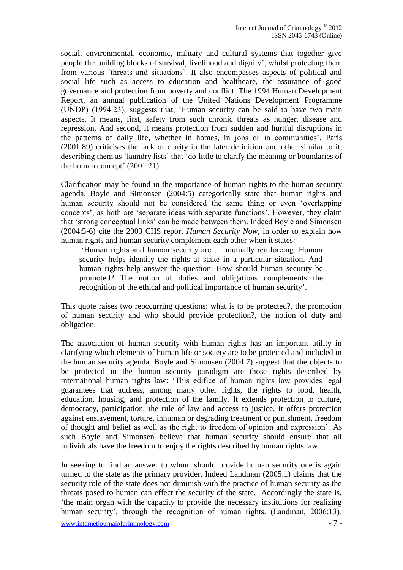social, environmental, economic, military and cultural systems that together give people the building blocks of survival, livelihood and dignity', whilst protecting them from various 'threats and situations'. It also encompasses aspects of political and social life such as access to education and healthcare, the assurance of good governance and protection from poverty and conflict. The 1994 Human Development Report, an annual publication of the United Nations Development Programme (UNDP) (1994:23), suggests that, 'Human security can be said to have two main aspects. It means, first, safety from such chronic threats as hunger, disease and repression. And second, it means protection from sudden and hurtful disruptions in the patterns of daily life, whether in homes, in jobs or in communities'. Paris (2001:89) criticises the lack of clarity in the later definition and other similar to it, describing them as 'laundry lists' that 'do little to clarify the meaning or boundaries of the human concept' (2001:21).

Clarification may be found in the importance of human rights to the human security agenda. Boyle and Simonsen (2004:5) categorically state that human rights and human security should not be considered the same thing or even 'overlapping concepts', as both are 'separate ideas with separate functions'. However, they claim that 'strong conceptual links' can be made between them. Indeed Boyle and Simonsen (2004:5-6) cite the 2003 CHS report *Human Security Now*, in order to explain how human rights and human security complement each other when it states:

'Human rights and human security are … mutually reinforcing. Human security helps identify the rights at stake in a particular situation. And human rights help answer the question: How should human security be promoted? The notion of duties and obligations complements the recognition of the ethical and political importance of human security'.

This quote raises two reoccurring questions: what is to be protected?, the promotion of human security and who should provide protection?, the notion of duty and obligation.

The association of human security with human rights has an important utility in clarifying which elements of human life or society are to be protected and included in the human security agenda. Boyle and Simonsen (2004:7) suggest that the objects to be protected in the human security paradigm are those rights described by international human rights law: 'This edifice of human rights law provides legal guarantees that address, among many other rights, the rights to food, health, education, housing, and protection of the family. It extends protection to culture, democracy, participation, the rule of law and access to justice. It offers protection against enslavement, torture, inhuman or degrading treatment or punishment, freedom of thought and belief as well as the right to freedom of opinion and expression'. As such Boyle and Simonsen believe that human security should ensure that all individuals have the freedom to enjoy the rights described by human rights law.

In seeking to find an answer to whom should provide human security one is again turned to the state as the primary provider. Indeed Landman (2005:1) claims that the security role of the state does not diminish with the practice of human security as the threats posed to human can effect the security of the state. Accordingly the state is, 'the main organ with the capacity to provide the necessary institutions for realizing human security', through the recognition of human rights. (Landman, 2006:13).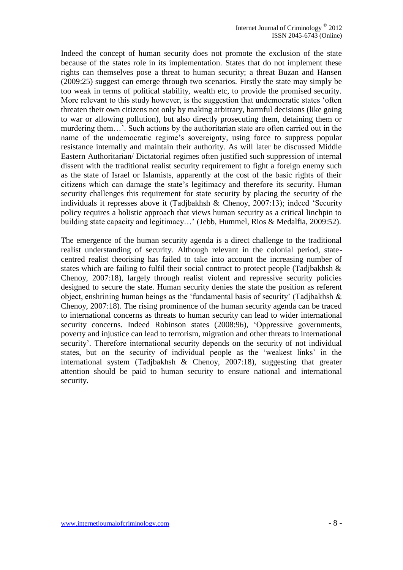Indeed the concept of human security does not promote the exclusion of the state because of the states role in its implementation. States that do not implement these rights can themselves pose a threat to human security; a threat Buzan and Hansen (2009:25) suggest can emerge through two scenarios. Firstly the state may simply be too weak in terms of political stability, wealth etc, to provide the promised security. More relevant to this study however, is the suggestion that undemocratic states 'often threaten their own citizens not only by making arbitrary, harmful decisions (like going to war or allowing pollution), but also directly prosecuting them, detaining them or murdering them…'. Such actions by the authoritarian state are often carried out in the name of the undemocratic regime's sovereignty, using force to suppress popular resistance internally and maintain their authority. As will later be discussed Middle Eastern Authoritarian/ Dictatorial regimes often justified such suppression of internal dissent with the traditional realist security requirement to fight a foreign enemy such as the state of Israel or Islamists, apparently at the cost of the basic rights of their citizens which can damage the state's legitimacy and therefore its security. Human security challenges this requirement for state security by placing the security of the individuals it represses above it (Tadjbakhsh & Chenoy, 2007:13); indeed 'Security policy requires a holistic approach that views human security as a critical linchpin to building state capacity and legitimacy…' (Jebb, Hummel, Rios & Medalfia, 2009:52).

The emergence of the human security agenda is a direct challenge to the traditional realist understanding of security. Although relevant in the colonial period, statecentred realist theorising has failed to take into account the increasing number of states which are failing to fulfil their social contract to protect people (Tadjbakhsh & Chenoy, 2007:18), largely through realist violent and repressive security policies designed to secure the state. Human security denies the state the position as referent object, enshrining human beings as the 'fundamental basis of security' (Tadjbakhsh & Chenoy, 2007:18). The rising prominence of the human security agenda can be traced to international concerns as threats to human security can lead to wider international security concerns. Indeed Robinson states (2008:96), 'Oppressive governments, poverty and injustice can lead to terrorism, migration and other threats to international security'. Therefore international security depends on the security of not individual states, but on the security of individual people as the 'weakest links' in the international system (Tadjbakhsh & Chenoy, 2007:18), suggesting that greater attention should be paid to human security to ensure national and international security.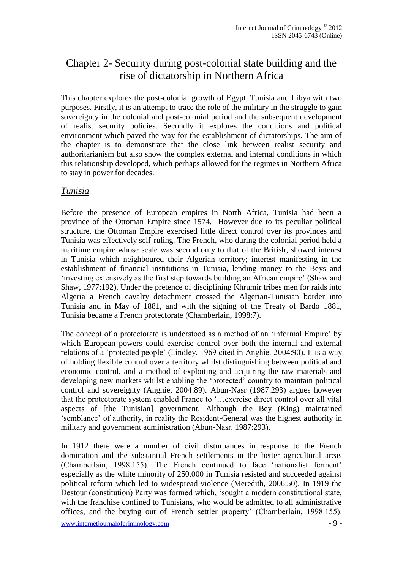## Chapter 2- Security during post-colonial state building and the rise of dictatorship in Northern Africa

This chapter explores the post-colonial growth of Egypt, Tunisia and Libya with two purposes. Firstly, it is an attempt to trace the role of the military in the struggle to gain sovereignty in the colonial and post-colonial period and the subsequent development of realist security policies. Secondly it explores the conditions and political environment which paved the way for the establishment of dictatorships. The aim of the chapter is to demonstrate that the close link between realist security and authoritarianism but also show the complex external and internal conditions in which this relationship developed, which perhaps allowed for the regimes in Northern Africa to stay in power for decades.

#### *Tunisia*

Before the presence of European empires in North Africa, Tunisia had been a province of the Ottoman Empire since 1574. However due to its peculiar political structure, the Ottoman Empire exercised little direct control over its provinces and Tunisia was effectively self-ruling. The French, who during the colonial period held a maritime empire whose scale was second only to that of the British, showed interest in Tunisia which neighboured their Algerian territory; interest manifesting in the establishment of financial institutions in Tunisia, lending money to the Beys and 'investing extensively as the first step towards building an African empire' (Shaw and Shaw, 1977:192). Under the pretence of disciplining Khrumir tribes men for raids into Algeria a French cavalry detachment crossed the Algerian-Tunisian border into Tunisia and in May of 1881, and with the signing of the Treaty of Bardo 1881, Tunisia became a French protectorate (Chamberlain, 1998:7).

The concept of a protectorate is understood as a method of an 'informal Empire' by which European powers could exercise control over both the internal and external relations of a 'protected people' (Lindley, 1969 cited in Anghie. 2004:90). It is a way of holding flexible control over a territory whilst distinguishing between political and economic control, and a method of exploiting and acquiring the raw materials and developing new markets whilst enabling the 'protected' country to maintain political control and sovereignty (Anghie, 2004:89). Abun-Nasr (1987:293) argues however that the protectorate system enabled France to '…exercise direct control over all vital aspects of [the Tunisian] government. Although the Bey (King) maintained 'semblance' of authority, in reality the Resident-General was the highest authority in military and government administration (Abun-Nasr, 1987:293).

In 1912 there were a number of civil disturbances in response to the French domination and the substantial French settlements in the better agricultural areas (Chamberlain, 1998:155). The French continued to face 'nationalist ferment' especially as the white minority of 250,000 in Tunisia resisted and succeeded against political reform which led to widespread violence (Meredith, 2006:50). In 1919 the Destour (constitution) Party was formed which, 'sought a modern constitutional state, with the franchise confined to Tunisians, who would be admitted to all administrative offices, and the buying out of French settler property' (Chamberlain, 1998:155).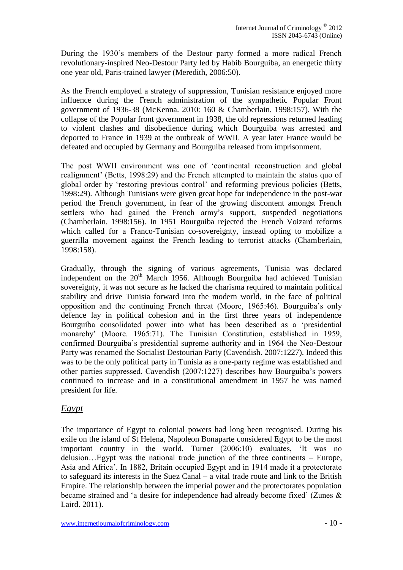During the 1930's members of the Destour party formed a more radical French revolutionary-inspired Neo-Destour Party led by Habib Bourguiba, an energetic thirty one year old, Paris-trained lawyer (Meredith, 2006:50).

As the French employed a strategy of suppression, Tunisian resistance enjoyed more influence during the French administration of the sympathetic Popular Front government of 1936-38 (McKenna. 2010: 160 & Chamberlain. 1998:157). With the collapse of the Popular front government in 1938, the old repressions returned leading to violent clashes and disobedience during which Bourguiba was arrested and deported to France in 1939 at the outbreak of WWII. A year later France would be defeated and occupied by Germany and Bourguiba released from imprisonment.

The post WWII environment was one of 'continental reconstruction and global realignment' (Betts, 1998:29) and the French attempted to maintain the status quo of global order by 'restoring previous control' and reforming previous policies (Betts, 1998:29). Although Tunisians were given great hope for independence in the post-war period the French government, in fear of the growing discontent amongst French settlers who had gained the French army's support, suspended negotiations (Chamberlain. 1998:156). In 1951 Bourguiba rejected the French Voizard reforms which called for a Franco-Tunisian co-sovereignty, instead opting to mobilize a guerrilla movement against the French leading to terrorist attacks (Chamberlain, 1998:158).

Gradually, through the signing of various agreements, Tunisia was declared independent on the  $20<sup>th</sup>$  March 1956. Although Bourguiba had achieved Tunisian sovereignty, it was not secure as he lacked the charisma required to maintain political stability and drive Tunisia forward into the modern world, in the face of political opposition and the continuing French threat (Moore, 1965:46). Bourguiba's only defence lay in political cohesion and in the first three years of independence Bourguiba consolidated power into what has been described as a 'presidential monarchy' (Moore. 1965:71). The Tunisian Constitution, established in 1959, confirmed Bourguiba's presidential supreme authority and in 1964 the Neo-Destour Party was renamed the Socialist Destourian Party (Cavendish. 2007:1227). Indeed this was to be the only political party in Tunisia as a one-party regime was established and other parties suppressed. Cavendish (2007:1227) describes how Bourguiba's powers continued to increase and in a constitutional amendment in 1957 he was named president for life.

#### *Egypt*

The importance of Egypt to colonial powers had long been recognised. During his exile on the island of St Helena, Napoleon Bonaparte considered Egypt to be the most important country in the world. Turner (2006:10) evaluates, 'It was no delusion…Egypt was the national trade junction of the three continents – Europe, Asia and Africa'. In 1882, Britain occupied Egypt and in 1914 made it a protectorate to safeguard its interests in the Suez Canal – a vital trade route and link to the British Empire. The relationship between the imperial power and the protectorates population became strained and 'a desire for independence had already become fixed' (Zunes & Laird. 2011).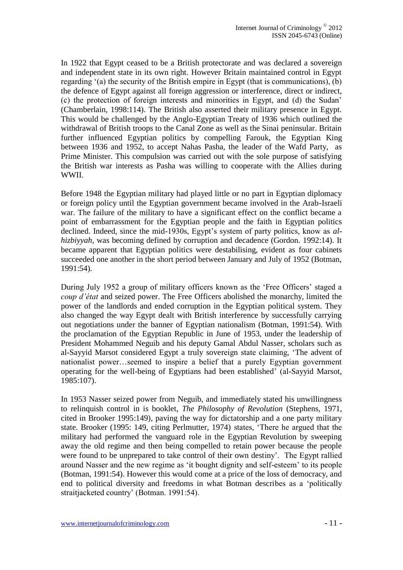In 1922 that Egypt ceased to be a British protectorate and was declared a sovereign and independent state in its own right. However Britain maintained control in Egypt regarding '(a) the security of the British empire in Egypt (that is communications), (b) the defence of Egypt against all foreign aggression or interference, direct or indirect, (c) the protection of foreign interests and minorities in Egypt, and (d) the Sudan' (Chamberlain, 1998:114). The British also asserted their military presence in Egypt. This would be challenged by the Anglo-Egyptian Treaty of 1936 which outlined the withdrawal of British troops to the Canal Zone as well as the Sinai peninsular. Britain further influenced Egyptian politics by compelling Farouk, the Egyptian King between 1936 and 1952, to accept Nahas Pasha, the leader of the Wafd Party, as Prime Minister. This compulsion was carried out with the sole purpose of satisfying the British war interests as Pasha was willing to cooperate with the Allies during WWII.

Before 1948 the Egyptian military had played little or no part in Egyptian diplomacy or foreign policy until the Egyptian government became involved in the Arab-Israeli war. The failure of the military to have a significant effect on the conflict became a point of embarrassment for the Egyptian people and the faith in Egyptian politics declined. Indeed, since the mid-1930s, Egypt's system of party politics, know as *alhizbiyyah*, was becoming defined by corruption and decadence (Gordon. 1992:14). It became apparent that Egyptian politics were destabilising, evident as four cabinets succeeded one another in the short period between January and July of 1952 (Botman, 1991:54).

During July 1952 a group of military officers known as the 'Free Officers' staged a *coup d'état* and seized power. The Free Officers abolished the monarchy, limited the power of the landlords and ended corruption in the Egyptian political system. They also changed the way Egypt dealt with British interference by successfully carrying out negotiations under the banner of Egyptian nationalism (Botman, 1991:54). With the proclamation of the Egyptian Republic in June of 1953, under the leadership of President Mohammed Neguib and his deputy Gamal Abdul Nasser, scholars such as al-Sayyid Marsot considered Egypt a truly sovereign state claiming, 'The advent of nationalist power…seemed to inspire a belief that a purely Egyptian government operating for the well-being of Egyptians had been established' (al-Sayyid Marsot, 1985:107).

In 1953 Nasser seized power from Neguib, and immediately stated his unwillingness to relinquish control in is booklet, *The Philosophy of Revolution* (Stephens, 1971, cited in Brooker 1995:149)*,* paving the way for dictatorship and a one party military state. Brooker (1995: 149, citing Perlmutter, 1974) states, 'There he argued that the military had performed the vanguard role in the Egyptian Revolution by sweeping away the old regime and then being compelled to retain power because the people were found to be unprepared to take control of their own destiny'. The Egypt rallied around Nasser and the new regime as 'it bought dignity and self-esteem' to its people (Botman, 1991:54). However this would come at a price of the loss of democracy, and end to political diversity and freedoms in what Botman describes as a 'politically straitjacketed country' (Botman. 1991:54).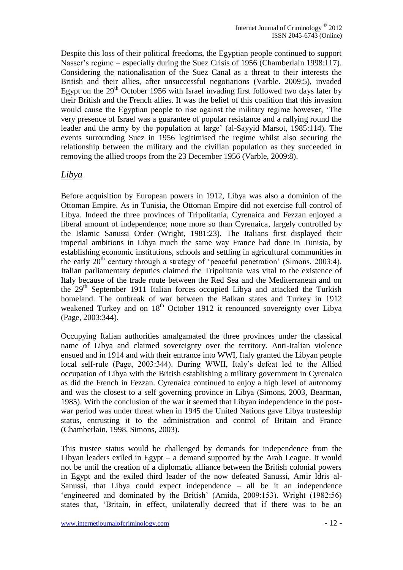Despite this loss of their political freedoms, the Egyptian people continued to support Nasser's regime – especially during the Suez Crisis of 1956 (Chamberlain 1998:117). Considering the nationalisation of the Suez Canal as a threat to their interests the British and their allies, after unsuccessful negotiations (Varble. 2009:5), invaded Egypt on the  $29<sup>th</sup>$  October 1956 with Israel invading first followed two days later by their British and the French allies. It was the belief of this coalition that this invasion would cause the Egyptian people to rise against the military regime however, 'The very presence of Israel was a guarantee of popular resistance and a rallying round the leader and the army by the population at large' (al-Sayyid Marsot, 1985:114). The events surrounding Suez in 1956 legitimised the regime whilst also securing the relationship between the military and the civilian population as they succeeded in removing the allied troops from the 23 December 1956 (Varble, 2009:8).

#### *Libya*

Before acquisition by European powers in 1912, Libya was also a dominion of the Ottoman Empire. As in Tunisia, the Ottoman Empire did not exercise full control of Libya. Indeed the three provinces of Tripolitania, Cyrenaica and Fezzan enjoyed a liberal amount of independence; none more so than Cyrenaica, largely controlled by the Islamic Sanussi Order (Wright, 1981:23). The Italians first displayed their imperial ambitions in Libya much the same way France had done in Tunisia, by establishing economic institutions, schools and settling in agricultural communities in the early  $20<sup>th</sup>$  century through a strategy of 'peaceful penetration' (Simons, 2003:4). Italian parliamentary deputies claimed the Tripolitania was vital to the existence of Italy because of the trade route between the Red Sea and the Mediterranean and on the  $29<sup>th</sup>$  September 1911 Italian forces occupied Libya and attacked the Turkish homeland. The outbreak of war between the Balkan states and Turkey in 1912 weakened Turkey and on 18<sup>th</sup> October 1912 it renounced sovereignty over Libya (Page, 2003:344).

Occupying Italian authorities amalgamated the three provinces under the classical name of Libya and claimed sovereignty over the territory. Anti-Italian violence ensued and in 1914 and with their entrance into WWI, Italy granted the Libyan people local self-rule (Page, 2003:344). During WWII, Italy's defeat led to the Allied occupation of Libya with the British establishing a military government in Cyrenaica as did the French in Fezzan. Cyrenaica continued to enjoy a high level of autonomy and was the closest to a self governing province in Libya (Simons, 2003, Bearman, 1985). With the conclusion of the war it seemed that Libyan independence in the postwar period was under threat when in 1945 the United Nations gave Libya trusteeship status, entrusting it to the administration and control of Britain and France (Chamberlain, 1998, Simons, 2003).

This trustee status would be challenged by demands for independence from the Libyan leaders exiled in Egypt – a demand supported by the Arab League. It would not be until the creation of a diplomatic alliance between the British colonial powers in Egypt and the exiled third leader of the now defeated Sanussi, Amir Idris al-Sanussi, that Libya could expect independence – all be it an independence 'engineered and dominated by the British' (Amida, 2009:153). Wright (1982:56) states that, 'Britain, in effect, unilaterally decreed that if there was to be an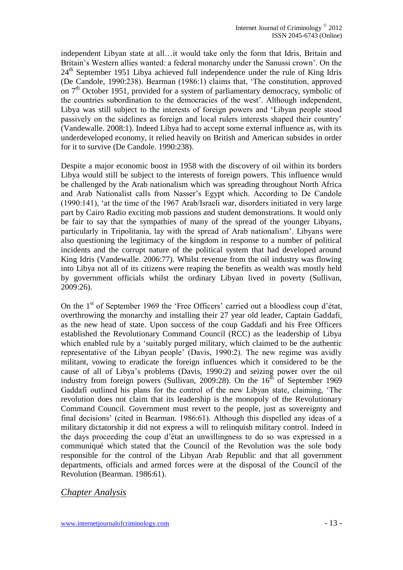independent Libyan state at all…it would take only the form that Idris, Britain and Britain's Western allies wanted: a federal monarchy under the Sanussi crown'. On the  $24<sup>th</sup>$  September 1951 Libya achieved full independence under the rule of King Idris (De Candole, 1990:238). Bearman (1986:1) claims that, 'The constitution, approved on  $7<sup>th</sup>$  October 1951, provided for a system of parliamentary democracy, symbolic of the countries subordination to the democracies of the west'. Although independent, Libya was still subject to the interests of foreign powers and 'Libyan people stood passively on the sidelines as foreign and local rulers interests shaped their country' (Vandewalle. 2008:1). Indeed Libya had to accept some external influence as, with its underdeveloped economy, it relied heavily on British and American subsides in order for it to survive (De Candole. 1990:238).

Despite a major economic boost in 1958 with the discovery of oil within its borders Libya would still be subject to the interests of foreign powers. This influence would be challenged by the Arab nationalism which was spreading throughout North Africa and Arab Nationalist calls from Nasser's Egypt which. According to De Candole (1990:141), 'at the time of the 1967 Arab/Israeli war, disorders initiated in very large part by Cairo Radio exciting mob passions and student demonstrations. It would only be fair to say that the sympathies of many of the spread of the younger Libyans, particularly in Tripolitania, lay with the spread of Arab nationalism'. Libyans were also questioning the legitimacy of the kingdom in response to a number of political incidents and the corrupt nature of the political system that had developed around King Idris (Vandewalle. 2006:77). Whilst revenue from the oil industry was flowing into Libya not all of its citizens were reaping the benefits as wealth was mostly held by government officials whilst the ordinary Libyan lived in poverty (Sullivan, 2009:26).

On the 1<sup>st</sup> of September 1969 the 'Free Officers' carried out a bloodless coup d'état, overthrowing the monarchy and installing their 27 year old leader, Captain Gaddafi, as the new head of state. Upon success of the coup Gaddafi and his Free Officers established the Revolutionary Command Council (RCC) as the leadership of Libya which enabled rule by a 'suitably purged military, which claimed to be the authentic representative of the Libyan people' (Davis, 1990:2). The new regime was avidly militant, vowing to eradicate the foreign influences which it considered to be the cause of all of Libya's problems (Davis, 1990:2) and seizing power over the oil industry from foreign powers (Sullivan, 2009:28). On the  $16<sup>th</sup>$  of September 1969 Gaddafi outlined his plans for the control of the new Libyan state, claiming, 'The revolution does not claim that its leadership is the monopoly of the Revolutionary Command Council. Government must revert to the people, just as sovereignty and final decisions' (cited in Bearman. 1986:61). Although this dispelled any ideas of a military dictatorship it did not express a will to relinquish military control. Indeed in the days proceeding the coup d'état an unwillingness to do so was expressed in a communiqué which stated that the Council of the Revolution was the sole body responsible for the control of the Libyan Arab Republic and that all government departments, officials and armed forces were at the disposal of the Council of the Revolution (Bearman. 1986:61).

#### *Chapter Analysis*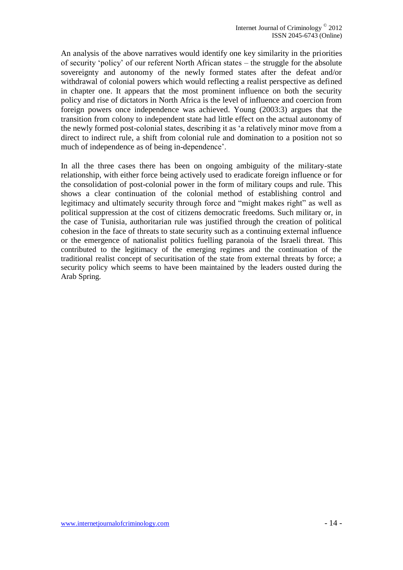An analysis of the above narratives would identify one key similarity in the priorities of security 'policy' of our referent North African states – the struggle for the absolute sovereignty and autonomy of the newly formed states after the defeat and/or withdrawal of colonial powers which would reflecting a realist perspective as defined in chapter one. It appears that the most prominent influence on both the security policy and rise of dictators in North Africa is the level of influence and coercion from foreign powers once independence was achieved. Young (2003:3) argues that the transition from colony to independent state had little effect on the actual autonomy of the newly formed post-colonial states, describing it as 'a relatively minor move from a direct to indirect rule, a shift from colonial rule and domination to a position not so much of independence as of being in-dependence'.

In all the three cases there has been on ongoing ambiguity of the military-state relationship, with either force being actively used to eradicate foreign influence or for the consolidation of post-colonial power in the form of military coups and rule. This shows a clear continuation of the colonial method of establishing control and legitimacy and ultimately security through force and "might makes right" as well as political suppression at the cost of citizens democratic freedoms. Such military or, in the case of Tunisia, authoritarian rule was justified through the creation of political cohesion in the face of threats to state security such as a continuing external influence or the emergence of nationalist politics fuelling paranoia of the Israeli threat. This contributed to the legitimacy of the emerging regimes and the continuation of the traditional realist concept of securitisation of the state from external threats by force; a security policy which seems to have been maintained by the leaders ousted during the Arab Spring.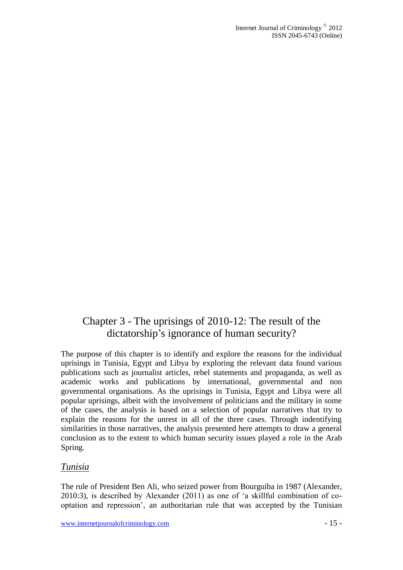### Chapter 3 - The uprisings of 2010-12: The result of the dictatorship's ignorance of human security?

The purpose of this chapter is to identify and explore the reasons for the individual uprisings in Tunisia, Egypt and Libya by exploring the relevant data found various publications such as journalist articles, rebel statements and propaganda, as well as academic works and publications by international, governmental and non governmental organisations. As the uprisings in Tunisia, Egypt and Libya were all popular uprisings, albeit with the involvement of politicians and the military in some of the cases, the analysis is based on a selection of popular narratives that try to explain the reasons for the unrest in all of the three cases. Through indentifying similarities in those narratives, the analysis presented here attempts to draw a general conclusion as to the extent to which human security issues played a role in the Arab Spring.

#### *Tunisia*

The rule of President Ben Ali, who seized power from Bourguiba in 1987 (Alexander, 2010:3), is described by Alexander (2011) as one of 'a skillful combination of cooptation and repression', an authoritarian rule that was accepted by the Tunisian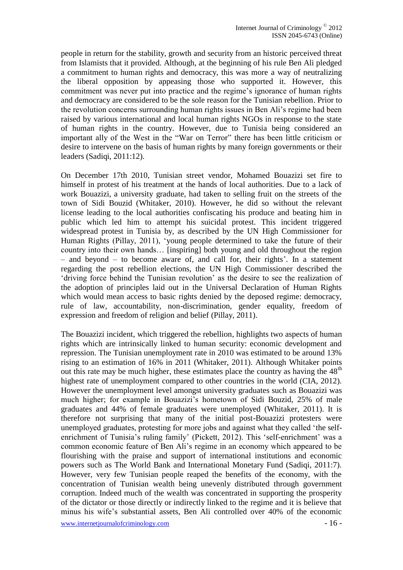people in return for the stability, growth and security from an historic perceived threat from Islamists that it provided. Although, at the beginning of his rule Ben Ali pledged a commitment to human rights and democracy, this was more a way of neutralizing the liberal opposition by appeasing those who supported it. However, this commitment was never put into practice and the regime's ignorance of human rights and democracy are considered to be the sole reason for the Tunisian rebellion. Prior to the revolution concerns surrounding human rights issues in Ben Ali's regime had been raised by various international and local human rights NGOs in response to the state of human rights in the country. However, due to Tunisia being considered an important ally of the West in the "War on Terror" there has been little criticism or desire to intervene on the basis of human rights by many foreign governments or their leaders (Sadiqi, 2011:12).

On December 17th 2010, Tunisian street vendor, Mohamed Bouazizi set fire to himself in protest of his treatment at the hands of local authorities. Due to a lack of work Bouazizi, a university graduate, had taken to selling fruit on the streets of the town of Sidi Bouzid (Whitaker, 2010). However, he did so without the relevant license leading to the local authorities confiscating his produce and beating him in public which led him to attempt his suicidal protest. This incident triggered widespread protest in Tunisia by, as described by the UN High Commissioner for Human Rights (Pillay, 2011), 'young people determined to take the future of their country into their own hands… [inspiring] both young and old throughout the region – and beyond – to become aware of, and call for, their rights'. In a statement regarding the post rebellion elections, the UN High Commissioner described the 'driving force behind the Tunisian revolution' as the desire to see the realization of the adoption of principles laid out in the Universal Declaration of Human Rights which would mean access to basic rights denied by the deposed regime: democracy, rule of law, accountability, non-discrimination, gender equality, freedom of expression and freedom of religion and belief (Pillay, 2011).

www.internetjournalofcriminology.com - 16 - The Bouazizi incident, which triggered the rebellion, highlights two aspects of human rights which are intrinsically linked to human security: economic development and repression. The Tunisian unemployment rate in 2010 was estimated to be around 13% rising to an estimation of 16% in 2011 (Whitaker, 2011). Although Whitaker points out this rate may be much higher, these estimates place the country as having the  $48<sup>th</sup>$ highest rate of unemployment compared to other countries in the world (CIA, 2012). However the unemployment level amongst university graduates such as Bouazizi was much higher; for example in Bouazizi's hometown of Sidi Bouzid, 25% of male graduates and 44% of female graduates were unemployed (Whitaker, 2011). It is therefore not surprising that many of the initial post-Bouazizi protesters were unemployed graduates, protesting for more jobs and against what they called 'the selfenrichment of Tunisia's ruling family' (Pickett, 2012). This 'self-enrichment' was a common economic feature of Ben Ali's regime in an economy which appeared to be flourishing with the praise and support of international institutions and economic powers such as The World Bank and International Monetary Fund (Sadiqi, 2011:7). However, very few Tunisian people reaped the benefits of the economy, with the concentration of Tunisian wealth being unevenly distributed through government corruption. Indeed much of the wealth was concentrated in supporting the prosperity of the dictator or those directly or indirectly linked to the regime and it is believe that minus his wife's substantial assets, Ben Ali controlled over 40% of the economic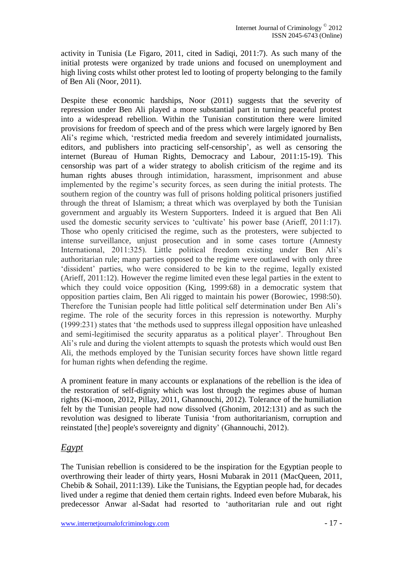activity in Tunisia (Le Figaro, 2011, cited in Sadiqi, 2011:7). As such many of the initial protests were organized by trade unions and focused on unemployment and high living costs whilst other protest led to looting of property belonging to the family of Ben Ali (Noor, 2011).

Despite these economic hardships, Noor (2011) suggests that the severity of repression under Ben Ali played a more substantial part in turning peaceful protest into a widespread rebellion. Within the Tunisian constitution there were limited provisions for freedom of speech and of the press which were largely ignored by Ben Ali's regime which, 'restricted media freedom and severely intimidated journalists, editors, and publishers into practicing self-censorship', as well as censoring the internet (Bureau of Human Rights, Democracy and Labour, 2011:15-19). This censorship was part of a wider strategy to abolish criticism of the regime and its human rights abuses through intimidation, harassment, imprisonment and abuse implemented by the regime's security forces, as seen during the initial protests. The southern region of the country was full of prisons holding political prisoners justified through the threat of Islamism; a threat which was overplayed by both the Tunisian government and arguably its Western Supporters. Indeed it is argued that Ben Ali used the domestic security services to 'cultivate' his power base (Arieff, 2011:17). Those who openly criticised the regime, such as the protesters, were subjected to intense surveillance, unjust prosecution and in some cases torture (Amnesty International, 2011:325). Little political freedom existing under Ben Ali's authoritarian rule; many parties opposed to the regime were outlawed with only three 'dissident' parties, who were considered to be kin to the regime, legally existed (Arieff, 2011:12). However the regime limited even these legal parties in the extent to which they could voice opposition (King, 1999:68) in a democratic system that opposition parties claim, Ben Ali rigged to maintain his power (Borowiec, 1998:50). Therefore the Tunisian people had little political self determination under Ben Ali's regime. The role of the security forces in this repression is noteworthy. Murphy (1999:231) states that 'the methods used to suppress illegal opposition have unleashed and semi-legitimised the security apparatus as a political player'. Throughout Ben Ali's rule and during the violent attempts to squash the protests which would oust Ben Ali, the methods employed by the Tunisian security forces have shown little regard for human rights when defending the regime.

A prominent feature in many accounts or explanations of the rebellion is the idea of the restoration of self-dignity which was lost through the regimes abuse of human rights (Ki-moon, 2012, Pillay, 2011, Ghannouchi, 2012). Tolerance of the humiliation felt by the Tunisian people had now dissolved (Ghonim, 2012:131) and as such the revolution was designed to liberate Tunisia 'from authoritarianism, corruption and reinstated [the] people's sovereignty and dignity' (Ghannouchi, 2012).

#### *Egypt*

The Tunisian rebellion is considered to be the inspiration for the Egyptian people to overthrowing their leader of thirty years, Hosni Mubarak in 2011 (MacQueen, 2011, Chebib & Sohail, 2011:139). Like the Tunisians, the Egyptian people had, for decades lived under a regime that denied them certain rights. Indeed even before Mubarak, his predecessor Anwar al-Sadat had resorted to 'authoritarian rule and out right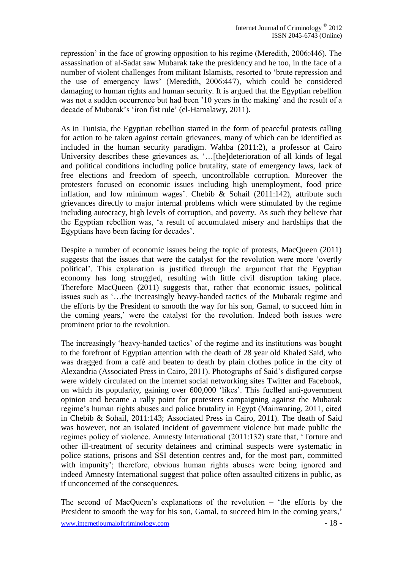repression' in the face of growing opposition to his regime (Meredith, 2006:446). The assassination of al-Sadat saw Mubarak take the presidency and he too, in the face of a number of violent challenges from militant Islamists, resorted to 'brute repression and the use of emergency laws' (Meredith, 2006:447), which could be considered damaging to human rights and human security. It is argued that the Egyptian rebellion was not a sudden occurrence but had been '10 years in the making' and the result of a decade of Mubarak's 'iron fist rule' [\(el-Hamalawy,](http://www.guardian.co.uk/profile/hossam-el-hamalawy) 2011).

As in Tunisia, the Egyptian rebellion started in the form of peaceful protests calling for action to be taken against certain grievances, many of which can be identified as included in the human security paradigm. Wahba (2011:2), a professor at Cairo University describes these grievances as, '…[the]deterioration of all kinds of legal and political conditions including police brutality, state of emergency laws, lack of free elections and freedom of speech, uncontrollable corruption. Moreover the protesters focused on economic issues including high unemployment, food price inflation, and low minimum wages'. Chebib & Sohail (2011:142), attribute such grievances directly to major internal problems which were stimulated by the regime including autocracy, high levels of corruption, and poverty. As such they believe that the Egyptian rebellion was, 'a result of accumulated misery and hardships that the Egyptians have been facing for decades'.

Despite a number of economic issues being the topic of protests, MacQueen (2011) suggests that the issues that were the catalyst for the revolution were more 'overtly political'. This explanation is justified through the argument that the Egyptian economy has long struggled, resulting with little civil disruption taking place. Therefore MacQueen (2011) suggests that, rather that economic issues, political issues such as '…the increasingly heavy-handed tactics of the Mubarak regime and the efforts by the President to smooth the way for his son, Gamal, to succeed him in the coming years,' were the catalyst for the revolution. Indeed both issues were prominent prior to the revolution.

The increasingly 'heavy-handed tactics' of the regime and its institutions was bought to the forefront of Egyptian attention with the death of 28 year old Khaled Said, who was dragged from a café and beaten to death by plain clothes police in the city of Alexandria (Associated Press in Cairo, 2011). Photographs of Said's disfigured corpse were widely circulated on the internet social networking sites Twitter and Facebook, on which its popularity, gaining over 600,000 'likes'. This fuelled anti-government opinion and became a rally point for protesters campaigning against the Mubarak regime's human rights abuses and police brutality in Egypt (Mainwaring, 2011, cited in Chebib & Sohail, 2011:143; Associated Press in Cairo, 2011). The death of Said was however, not an isolated incident of government violence but made public the regimes policy of violence. Amnesty International (2011:132) state that, 'Torture and other ill-treatment of security detainees and criminal suspects were systematic in police stations, prisons and SSI detention centres and, for the most part, committed with impunity'; therefore, obvious human rights abuses were being ignored and indeed Amnesty International suggest that police often assaulted citizens in public, as if unconcerned of the consequences.

The second of MacQueen's explanations of the revolution – 'the efforts by the President to smooth the way for his son, Gamal, to succeed him in the coming years,'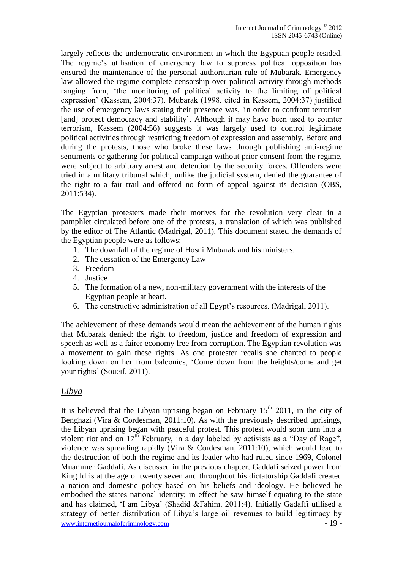largely reflects the undemocratic environment in which the Egyptian people resided. The regime's utilisation of emergency law to suppress political opposition has ensured the maintenance of the personal authoritarian rule of Mubarak. Emergency law allowed the regime complete censorship over political activity through methods ranging from, 'the monitoring of political activity to the limiting of political expression' (Kassem, 2004:37). Mubarak (1998. cited in Kassem, 2004:37) justified the use of emergency laws stating their presence was, 'in order to confront terrorism [and] protect democracy and stability'. Although it may have been used to counter terrorism, Kassem (2004:56) suggests it was largely used to control legitimate political activities through restricting freedom of expression and assembly. Before and during the protests, those who broke these laws through publishing anti-regime sentiments or gathering for political campaign without prior consent from the regime, were subject to arbitrary arrest and detention by the security forces. Offenders were tried in a military tribunal which, unlike the judicial system, denied the guarantee of the right to a fair trail and offered no form of appeal against its decision (OBS, 2011:534).

The Egyptian protesters made their motives for the revolution very clear in a pamphlet circulated before one of the protests, a translation of which was published by the editor of The Atlantic (Madrigal, 2011). This document stated the demands of the Egyptian people were as follows:

- 1. The downfall of the regime of Hosni Mubarak and his ministers.
- 2. The cessation of the Emergency Law
- 3. Freedom
- 4. Justice
- 5. The formation of a new, non-military government with the interests of the Egyptian people at heart.
- 6. The constructive administration of all Egypt's resources. (Madrigal, 2011).

The achievement of these demands would mean the achievement of the human rights that Mubarak denied: the right to freedom, justice and freedom of expression and speech as well as a fairer economy free from corruption. The Egyptian revolution was a movement to gain these rights. As one protester recalls she chanted to people looking down on her from balconies, 'Come down from the heights/come and get your rights' (Soueif, 2011).

#### *Libya*

www.internetjournalofcriminology.com - 19 - It is believed that the Libyan uprising began on February  $15<sup>th</sup> 2011$ , in the city of Benghazi (Vira & Cordesman, 2011:10). As with the previously described uprisings, the Libyan uprising began with peaceful protest. This protest would soon turn into a violent riot and on  $17<sup>th</sup>$  February, in a day labeled by activists as a "Day of Rage", violence was spreading rapidly (Vira & Cordesman, 2011:10), which would lead to the destruction of both the regime and its leader who had ruled since 1969, Colonel Muammer Gaddafi. As discussed in the previous chapter, Gaddafi seized power from King Idris at the age of twenty seven and throughout his dictatorship Gaddafi created a nation and domestic policy based on his beliefs and ideology. He believed he embodied the states national identity; in effect he saw himself equating to the state and has claimed, 'I am Libya' (Shadid &Fahim. 2011:4). Initially Gadaffi utilised a strategy of better distribution of Libya's large oil revenues to build legitimacy by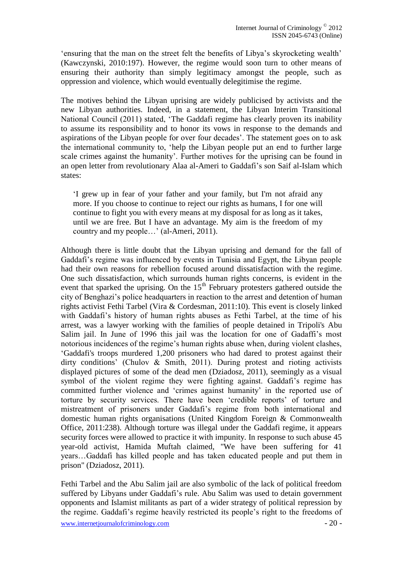'ensuring that the man on the street felt the benefits of Libya's skyrocketing wealth' (Kawczynski, 2010:197). However, the regime would soon turn to other means of ensuring their authority than simply legitimacy amongst the people, such as oppression and violence, which would eventually delegitimise the regime.

The motives behind the Libyan uprising are widely publicised by activists and the new Libyan authorities. Indeed, in a statement, the Libyan Interim Transitional National Council (2011) stated, 'The Gaddafi regime has clearly proven its inability to assume its responsibility and to honor its vows in response to the demands and aspirations of the Libyan people for over four decades'. The statement goes on to ask the international community to, 'help the Libyan people put an end to further large scale crimes against the humanity'. Further motives for the uprising can be found in an open letter from revolutionary [Alaa al-Ameri](http://www.guardian.co.uk/profile/alaa-al-ameri) to Gaddafi's son Saif al-Islam which states:

'I grew up in fear of your father and your family, but I'm not afraid any more. If you choose to continue to reject our rights as humans, I for one will continue to fight you with every means at my disposal for as long as it takes, until we are free. But I have an advantage. My aim is the freedom of my country and my people…' (al-Ameri, 2011).

Although there is little doubt that the Libyan uprising and demand for the fall of Gaddafi's regime was influenced by events in Tunisia and Egypt, the Libyan people had their own reasons for rebellion focused around dissatisfaction with the regime. One such dissatisfaction, which surrounds human rights concerns, is evident in the event that sparked the uprising. On the  $15<sup>th</sup>$  February protesters gathered outside the city of Benghazi's police headquarters in reaction to the arrest and detention of human rights activist Fethi Tarbel (Vira & Cordesman, 2011:10). This event is closely linked with Gaddafi's history of human rights abuses as Fethi Tarbel, at the time of his arrest, was a lawyer working with the families of people detained in Tripoli's Abu Salim jail. In June of 1996 this jail was the location for one of Gadaffi's most notorious incidences of the regime's human rights abuse when, during violent clashes, 'Gaddafi's troops murdered 1,200 prisoners who had dared to protest against their dirty conditions' (Chulov & Smith, 2011). During protest and rioting activists displayed pictures of some of the dead men (Dziadosz, 2011), seemingly as a visual symbol of the violent regime they were fighting against. Gaddafi's regime has committed further violence and 'crimes against humanity' in the reported use of torture by security services. There have been 'credible reports' of torture and mistreatment of prisoners under Gaddafi's regime from both international and domestic human rights organisations (United Kingdom Foreign & Commonwealth Office, 2011:238). Although torture was illegal under the Gaddafi regime, it appears security forces were allowed to practice it with impunity. In response to such abuse 45 year-old activist, Hamida Muftah claimed, "We have been suffering for 41 years…Gaddafi has killed people and has taken educated people and put them in prison" (Dziadosz, 2011).

www.internetjournalofcriminology.com - 20 -Fethi Tarbel and the Abu Salim jail are also symbolic of the lack of political freedom suffered by Libyans under Gaddafi's rule. Abu Salim was used to detain government opponents and Islamist militants as part of a wider strategy of political repression by the regime. Gaddafi's regime heavily restricted its people's right to the freedoms of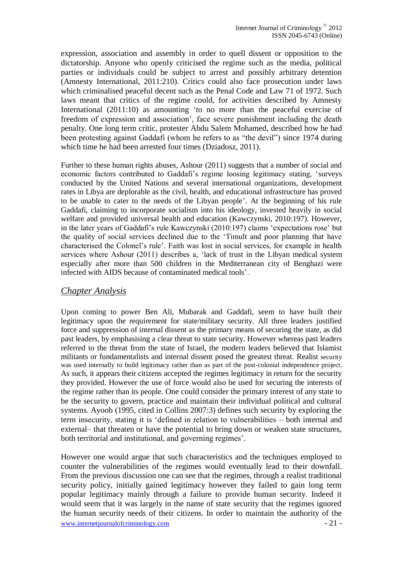expression, association and assembly in order to quell dissent or opposition to the dictatorship. Anyone who openly criticised the regime such as the media, political parties or individuals could be subject to arrest and possibly arbitrary detention (Amnesty International, 2011:210). Critics could also face prosecution under laws which criminalised peaceful decent such as the Penal Code and Law 71 of 1972. Such laws meant that critics of the regime could, for activities described by Amnesty International (2011:10) as amounting 'to no more than the peaceful exercise of freedom of expression and association', face severe punishment including the death penalty. One long term critic, protester Abdu Salem Mohamed, described how he had been protesting against Gaddafi (whom he refers to as "the devil") since 1974 during which time he had been arrested four times (Dziadosz, 2011).

Further to these human rights abuses, Ashour (2011) suggests that a number of social and economic factors contributed to Gaddafi's regime loosing legitimacy stating, 'surveys conducted by the United Nations and several international organizations, development rates in Libya are deplorable as the civil, health, and educational infrastructure has proved to be unable to cater to the needs of the Libyan people'. At the beginning of his rule Gaddafi, claiming to incorporate socialism into his ideology, invested heavily in social welfare and provided universal health and education (Kawczynski, 2010:197). However, in the later years of Gaddafi's rule Kawczynski (2010:197) claims 'expectations rose' but the quality of social services declined due to the 'Timult and poor planning that have characterised the Colonel's rule'. Faith was lost in social services, for example in health services where Ashour (2011) describes a, 'lack of trust in the Libyan medical system especially after more than 500 children in the Mediterranean city of Benghazi were infected with AIDS because of contaminated medical tools'.

#### *Chapter Analysis*

Upon coming to power Ben Ali, Mubarak and Gaddafi, seem to have built their legitimacy upon the requirement for state/military security. All three leaders justified force and suppression of internal dissent as the primary means of securing the state, as did past leaders, by emphasising a clear threat to state security. However whereas past leaders referred to the threat from the state of Israel, the modern leaders believed that Islamist militants or fundamentalists and internal dissent posed the greatest threat. Realist security was used internally to build legitimacy rather than as part of the post-colonial independence project. As such, it appears their citizens accepted the regimes legitimacy in return for the security they provided. However the use of force would also be used for securing the interests of the regime rather than its people. One could consider the primary interest of any state to be the security to govern, practice and maintain their individual political and cultural systems. Ayoob (1995, cited in Collins 2007:3) defines such security by exploring the term insecurity, stating it is 'defined in relation to vulnerabilities – both internal and external– that threaten or have the potential to bring down or weaken state structures, both territorial and institutional, and governing regimes'.

www.internetjournalofcriminology.com - 21 - However one would argue that such characteristics and the techniques employed to counter the vulnerabilities of the regimes would eventually lead to their downfall. From the previous discussion one can see that the regimes, through a realist traditional security policy, initially gained legitimacy however they failed to gain long term popular legitimacy mainly through a failure to provide human security. Indeed it would seem that it was largely in the name of state security that the regimes ignored the human security needs of their citizens. In order to maintain the authority of the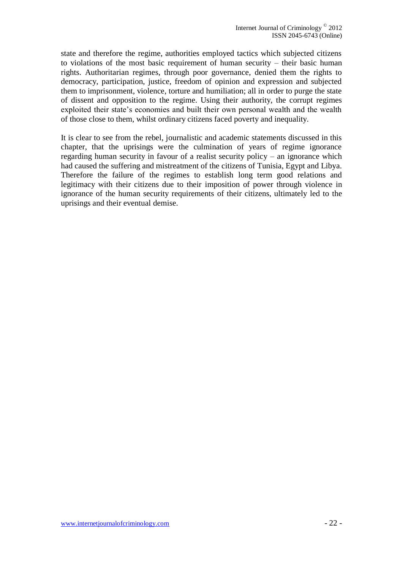state and therefore the regime, authorities employed tactics which subjected citizens to violations of the most basic requirement of human security – their basic human rights. Authoritarian regimes, through poor governance, denied them the rights to democracy, participation, justice, freedom of opinion and expression and subjected them to imprisonment, violence, torture and humiliation; all in order to purge the state of dissent and opposition to the regime. Using their authority, the corrupt regimes exploited their state's economies and built their own personal wealth and the wealth of those close to them, whilst ordinary citizens faced poverty and inequality.

It is clear to see from the rebel, journalistic and academic statements discussed in this chapter, that the uprisings were the culmination of years of regime ignorance regarding human security in favour of a realist security policy – an ignorance which had caused the suffering and mistreatment of the citizens of Tunisia, Egypt and Libya. Therefore the failure of the regimes to establish long term good relations and legitimacy with their citizens due to their imposition of power through violence in ignorance of the human security requirements of their citizens, ultimately led to the uprisings and their eventual demise.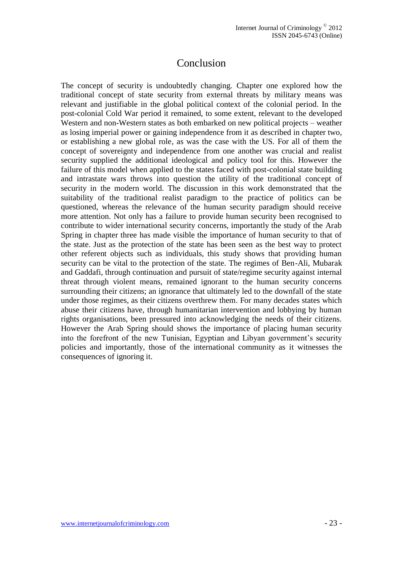### Conclusion

The concept of security is undoubtedly changing. Chapter one explored how the traditional concept of state security from external threats by military means was relevant and justifiable in the global political context of the colonial period. In the post-colonial Cold War period it remained, to some extent, relevant to the developed Western and non-Western states as both embarked on new political projects – weather as losing imperial power or gaining independence from it as described in chapter two, or establishing a new global role, as was the case with the US. For all of them the concept of sovereignty and independence from one another was crucial and realist security supplied the additional ideological and policy tool for this. However the failure of this model when applied to the states faced with post-colonial state building and intrastate wars throws into question the utility of the traditional concept of security in the modern world. The discussion in this work demonstrated that the suitability of the traditional realist paradigm to the practice of politics can be questioned, whereas the relevance of the human security paradigm should receive more attention. Not only has a failure to provide human security been recognised to contribute to wider international security concerns, importantly the study of the Arab Spring in chapter three has made visible the importance of human security to that of the state. Just as the protection of the state has been seen as the best way to protect other referent objects such as individuals, this study shows that providing human security can be vital to the protection of the state. The regimes of Ben-Ali, Mubarak and Gaddafi, through continuation and pursuit of state/regime security against internal threat through violent means, remained ignorant to the human security concerns surrounding their citizens; an ignorance that ultimately led to the downfall of the state under those regimes, as their citizens overthrew them. For many decades states which abuse their citizens have, through humanitarian intervention and lobbying by human rights organisations, been pressured into acknowledging the needs of their citizens. However the Arab Spring should shows the importance of placing human security into the forefront of the new Tunisian, Egyptian and Libyan government's security policies and importantly, those of the international community as it witnesses the consequences of ignoring it.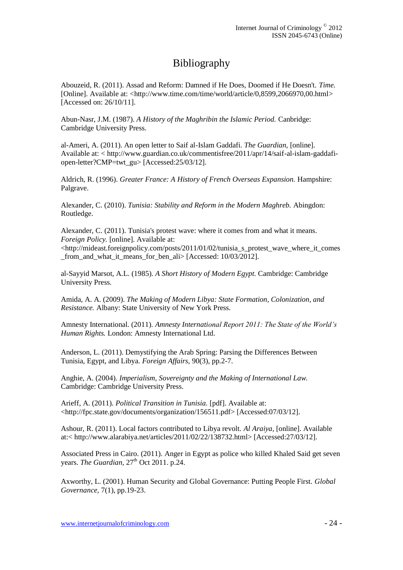# Bibliography

Abouzeid, R. (2011). Assad and Reform: Damned if He Does, Doomed if He Doesn't. *Time.*  [Online]. Available at: <http://www.time.com/time/world/article/0.8599.2066970.00.html> [Accessed on: 26/10/11].

Abun-Nasr, J.M. (1987). *A History of the Maghribin the Islamic Period.* Canbridge: Cambridge University Press.

al-Ameri, A. (2011). An open letter to Saif al-Islam Gaddafi. *The Guardian,* [online]. Available at: < http://www.guardian.co.uk/commentisfree/2011/apr/14/saif-al-islam-gaddafiopen-letter?CMP=twt\_gu> [Accessed:25/03/12].

Aldrich, R. (1996). *Greater France: A History of French Overseas Expansion.* Hampshire: Palgrave.

Alexander, C. (2010). *Tunisia: Stability and Reform in the Modern Maghreb.* Abingdon: Routledge.

Alexander, C. (2011). [Tunisia's protest wave: where it comes from and what it means.](http://mideast.foreignpolicy.com/posts/2011/01/02/tunisia_s_protest_wave_where_it_comes_from_and_what_it_means_for_ben_ali) *Foreign Policy.* [online]. Available at: <http://mideast.foreignpolicy.com/posts/2011/01/02/tunisia\_s\_protest\_wave\_where\_it\_comes from and what it means for ben ali > [Accessed: 10/03/2012].

al-Sayyid Marsot, A.L. (1985). *A Short History of Modern Egypt.* Cambridge: Cambridge University Press.

Amida, A. A. (2009). *The Making of Modern Libya: State Formation, Colonization, and Resistance.* Albany: State University of New York Press.

Amnesty International. (2011). *Amnesty International Report 2011: The State of the World's Human Rights.* London: Amnesty International Ltd.

Anderson, L. (2011). Demystifying the Arab Spring: Parsing the Differences Between Tunisia, Egypt, and Libya. *Foreign Affairs,* 90(3), pp.2-7.

Anghie, A. (2004). *Imperialism, Sovereignty and the Making of International Law.*  Cambridge: Cambridge University Press.

Arieff, A. (2011). *Political Transition in Tunisia.* [pdf]. Available at: <http://fpc.state.gov/documents/organization/156511.pdf> [Accessed:07/03/12].

Ashour, R. (2011). Local factors contributed to Libya revolt. *Al Araiya,* [online]. Available at:< http://www.alarabiya.net/articles/2011/02/22/138732.html> [Accessed:27/03/12].

Associated Press in Cairo. (2011). [Anger in Egypt as police who killed Khaled Said get seven](http://www.guardian.co.uk/world/2011/oct/26/khaled-said-police-sentenced)  [years.](http://www.guardian.co.uk/world/2011/oct/26/khaled-said-police-sentenced) *The Guardian*,  $27<sup>th</sup>$  Oct 2011. p.24.

Axworthy, L. (2001). Human Security and Global Governance: Putting People First. *Global Governance,* 7(1), pp.19-23.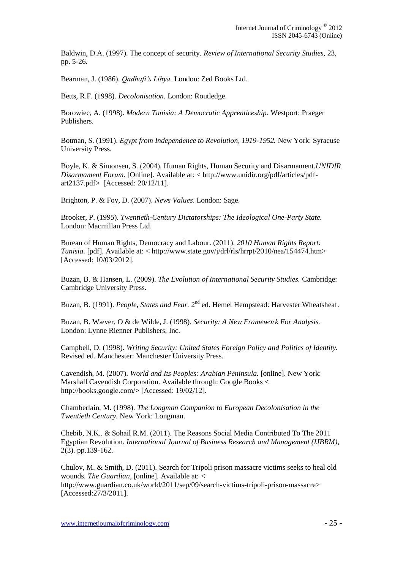Baldwin, D.A. (1997). The concept of security. *Review of International Security Studies,* 23, pp. 5-26.

Bearman, J. (1986). *Qadhafi's Libya.* London: Zed Books Ltd.

Betts, R.F. (1998). *Decolonisation.* London: Routledge.

Borowiec, A. (1998). *Modern Tunisia: A Democratic Apprenticeship.* Westport: Praeger Publishers.

Botman, S. (1991). *Egypt from Independence to Revolution, 1919-1952.* New York: Syracuse University Press.

Boyle, K. & Simonsen, S. (2004). Human Rights, Human Security and Disarmament.*UNIDIR Disarmament Forum.* [Online]. Available at: < http://www.unidir.org/pdf/articles/pdfart2137.pdf> [Accessed: 20/12/11].

Brighton, P. & Foy, D. (2007). *News Values*. London: Sage.

Brooker, P. (1995). *Twentieth-Century Dictatorships: The Ideological One-Party State.* London: Macmillan Press Ltd.

Bureau of Human Rights, Democracy and Labour. (2011). *2010 Human Rights Report: Tunisia.* [pdf]. Available at: < http://www.state.gov/j/drl/rls/hrrpt/2010/nea/154474.htm> [Accessed: 10/03/2012].

Buzan, B. & Hansen, L. (2009). *The Evolution of International Security Studies.* Cambridge: Cambridge University Press.

Buzan, B. (1991). *People, States and Fear.* 2<sup>nd</sup> ed. Hemel Hempstead: Harvester Wheatsheaf.

Buzan, B. Wæver, O & de Wilde, J. (1998). *Security: A New Framework For Analysis.*  London: Lynne Rienner Publishers, Inc.

Campbell, D. (1998). *Writing Security: United States Foreign Policy and Politics of Identity.*  Revised ed. Manchester: Manchester University Press.

Cavendish, M. (2007). *World and Its Peoples: Arabian Peninsula.* [online]. New York: Marshall Cavendish Corporation. Available through: Google Books < http://books.google.com/> [Accessed: 19/02/12].

Chamberlain, M. (1998). *The Longman Companion to European Decolonisation in the Twentieth Century.* New York: Longman.

Chebib, N.K.. & Sohail R.M. (2011). The Reasons Social Media Contributed To The 2011 Egyptian Revolution. *International Journal of Business Research and Management (IJBRM),*  2(3). pp.139-162.

Chulov, M. & Smith, D. (2011). Search for Tripoli prison massacre victims seeks to heal old wounds. *The Guardian,* [online]. Available at: < http://www.guardian.co.uk/world/2011/sep/09/search-victims-tripoli-prison-massacre> [Accessed:27/3/2011].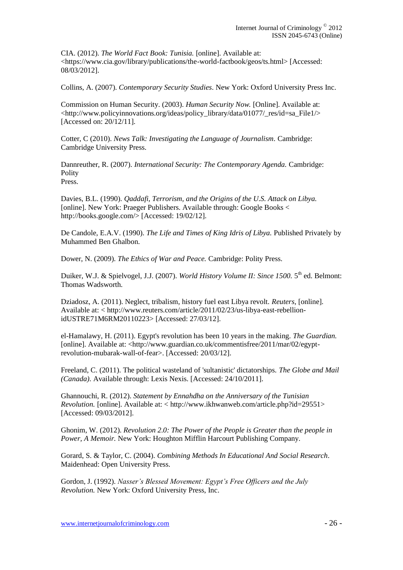CIA. (2012). *The World Fact Book: Tunisia.* [online]. Available at: <https://www.cia.gov/library/publications/the-world-factbook/geos/ts.html> [Accessed: 08/03/2012].

Collins, A. (2007). *Contemporary Security Studies*. New York: Oxford University Press Inc.

Commission on Human Security. (2003). *Human Security Now.* [Online]. Available at: <http://www.policyinnovations.org/ideas/policy\_library/data/01077/\_res/id=sa\_File1/> [Accessed on: 20/12/11].

Cotter, C (2010). *News Talk: Investigating the Language of Journalism.* Cambridge: Cambridge University Press.

Dannreuther, R. (2007). *International Security: The Contemporary Agenda.* Cambridge: Polity Press.

Davies, B.L. (1990). *Qaddafi, Terrorism, and the Origins of the U.S. Attack on Libya.*  [online]. New York: Praeger Publishers. Available through: Google Books < http://books.google.com/> [Accessed: 19/02/12].

De Candole, E.A.V. (1990). *The Life and Times of King Idris of Libya.* Published Privately by Muhammed Ben Ghalbon.

Dower, N. (2009). *The Ethics of War and Peace.* Cambridge: Polity Press.

Duiker, W.J. & Spielvogel, J.J. (2007). *World History Volume II: Since 1500*. 5<sup>th</sup> ed. Belmont: Thomas Wadsworth.

Dziadosz, A. (2011). Neglect, tribalism, history fuel east Libya revolt. *Reuters,* [online]. Available at: < http://www.reuters.com/article/2011/02/23/us-libya-east-rebellionidUSTRE71M6RM20110223> [Accessed: 27/03/12].

[el-Hamalawy,](http://www.guardian.co.uk/profile/hossam-el-hamalawy) H. (2011). Egypt's revolution has been 10 years in the making. *The Guardian.*  [online]. Available at: <http://www.guardian.co.uk/commentisfree/2011/mar/02/egyptrevolution-mubarak-wall-of-fear>. [Accessed: 20/03/12].

Freeland, C. (2011). The political wasteland of 'sultanistic' dictatorships. *The Globe and Mail (Canada).* Available through: Lexis Nexis. [Accessed: 24/10/2011].

Ghannouchi, R. (2012). *Statement by Ennahdha on the Anniversary of the Tunisian Revolution.* [online]. Available at: < http://www.ikhwanweb.com/article.php?id=29551> [Accessed: 09/03/2012].

Ghonim, W. (2012). *Revolution 2.0: The Power of the People is Greater than the people in Power, A Memoir.* New York: Houghton Mifflin Harcourt Publishing Company.

Gorard, S. & Taylor, C. (2004). *Combining Methods In Educational And Social Research.*  Maidenhead: Open University Press.

Gordon, J. (1992). *Nasser's Blessed Movement: Egypt's Free Officers and the July Revolution.* New York: Oxford University Press, Inc.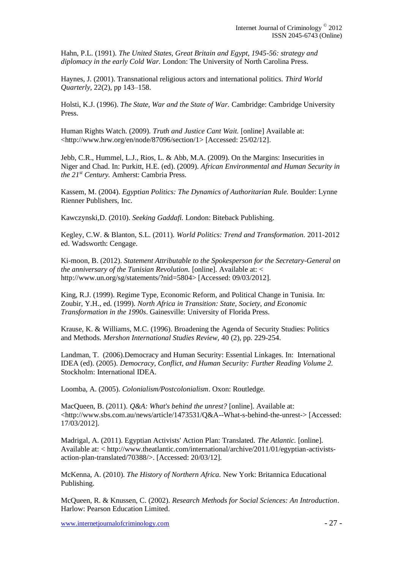Hahn, P.L. (1991). *The United States, Great Britain and Egypt, 1945-56: strategy and diplomacy in the early Cold War.* London: The University of North Carolina Press.

Haynes, J. (2001). Transnational religious actors and international politics. *Third World Quarterly,* 22(2), pp 143–158.

Holsti, K.J. (1996). *The State, War and the State of War.* Cambridge: Cambridge University Press.

Human Rights Watch. (2009). *Truth and Justice Cant Wait.* [online] Available at: <http://www.hrw.org/en/node/87096/section/1> [Accessed: 25/02/12].

Jebb, C.R., Hummel, L.J., Rios, L. & Abb, M.A. (2009). On the Margins: Insecurities in Niger and Chad. In: Purkitt, H.E. (ed). (2009). *African Environmental and Human Security in the 21st Century.* Amherst: Cambria Press.

Kassem, M. (2004). *Egyptian Politics: The Dynamics of Authoritarian Rule.* Boulder: Lynne Rienner Publishers, Inc.

Kawczynski,D. (2010). *Seeking Gaddafi.* London: Biteback Publishing.

Kegley, C.W. & Blanton, S.L. (2011)*. World Politics: Trend and Transformation.* 2011-2012 ed. Wadsworth: Cengage.

Ki-moon, B. (2012). *Statement Attributable to the Spokesperson for the Secretary-General on the anniversary of the Tunisian Revolution.* [online]. Available at: < http://www.un.org/sg/statements/?nid=5804> [Accessed: 09/03/2012].

King, R.J. (1999). Regime Type, Economic Reform, and Political Change in Tunisia. In: Zoubir, Y.H., ed. (1999). *North Africa in Transition: State, Society, and Economic Transformation in the 1990s*. Gainesville: University of Florida Press.

Krause, K. & Williams, M.C. (1996). Broadening the Agenda of Security Studies: Politics and Methods. *Mershon International Studies Review,* 40 (2), pp. 229-254.

Landman, T. (2006).Democracy and Human Security: Essential Linkages. In: International IDEA (ed). (2005). *Democracy, Conflict, and Human Security: Further Reading Volume 2.*  Stockholm: International IDEA.

Loomba, A. (2005). *Colonialism/Postcolonialism*. Oxon: Routledge.

MacQueen, B. (2011). *Q&A: What's behind the unrest?* [online]. Available at: <http://www.sbs.com.au/news/article/1473531/Q&A--What-s-behind-the-unrest-> [Accessed: 17/03/2012].

Madrigal, A. (2011). Egyptian Activists' Action Plan: Translated. *The Atlantic.* [online]. Available at: < http://www.theatlantic.com/international/archive/2011/01/egyptian-activistsaction-plan-translated/70388/>. [Accessed: 20/03/12].

McKenna, A. (2010). *The History of Northern Africa.* New York: Britannica Educational Publishing.

McQueen, R. & Knussen, C. (2002). *Research Methods for Social Sciences: An Introduction*. Harlow: Pearson Education Limited.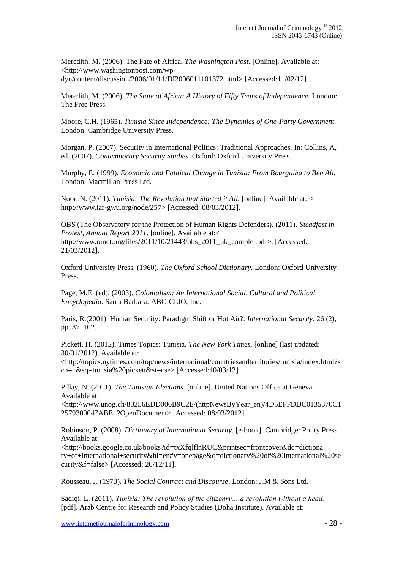Meredith, M. (2006). The Fate of Africa. *The Washington Post.* [Online]. Available at: <http://www.washingtonpost.com/wpdyn/content/discussion/2006/01/11/DI2006011101372.html> [Accessed:11/02/12] .

Meredith, M. (2006). *The State of Africa: A History of Fifty Years of Independence.* London: The Free Press.

Moore, C.H. (1965). *Tunisia Since Independence: The Dynamics of One-Party Government.*  London: Cambridge University Press.

Morgan, P. (2007). Security in International Politics: Traditional Approaches. In: Collins, A, ed. (2007). *Contemporary Security Studies.* Oxford: Oxford University Press.

Murphy, E. (1999). *Economic and Political Change in Tunisia: From Bourguiba to Ben Ali.* London: Macmillan Press Ltd.

Noor, N. (2011). *Tunisia: The Revolution that Started it All.* [online]. Available at: < http://www.iar-gwu.org/node/257> [Accessed: 08/03/2012].

OBS (The Observatory for the Protection of Human Rights Defenders). (2011). *Steadfast in Protest, Annual Report 2011*. [online]. Available at:< http://www.omct.org/files/2011/10/21443/obs\_2011\_uk\_complet.pdf>. [Accessed: 21/03/2012].

Oxford University Press. (1960). *The Oxford School Dictionary*. London: Oxford University Press.

Page, M.E. (ed). (2003). *Colonialism: An International Social, Cultural and Political Encyclopedia.* Santa Barbara: ABC-CLIO, Inc.

Paris, R.(2001). Human Security: Paradigm Shift or Hot Air?. *International Security.* 26 (2), pp. 87–102.

Pickett, H. (2012). Times Topics: Tunisia*. The New York Times,* [online] (last updated: 30/01/2012). Available at:

<http://topics.nytimes.com/top/news/international/countriesandterritories/tunisia/index.html?s cp=1&sq=tunisia%20pickett&st=cse> [Accessed:10/03/12].

Pillay, N. (2011). *The Tunisian Elections*. [online]. United Nations Office at Geneva. Available at:

<http://www.unog.ch/80256EDD006B9C2E/(httpNewsByYear\_en)/4D5EFFDDC0135370C1 2579300047ABE1?OpenDocument> [Accessed: 08/03/2012].

Robinson, P. (2008). *Dictionary of International Security.* [e-book]. Cambridge: Polity Press. Available at:

<http://books.google.co.uk/books?id=txXfqlflnRUC&printsec=frontcover&dq=dictiona ry+of+international+security&hl=en#v=onepage&q=dictionary%20of%20international%20se curity&f=false> [Accessed: 20/12/11].

Rousseau, J. (1973). *The Social Contract and Discourse*. London: J.M & Sons Ltd.

Sadiqi, L. (2011). *Tunisia: The revolution of the citizenry….a revolution without a head.* [pdf]. Arab Centre for Research and Policy Studies (Doha Institute). Available at: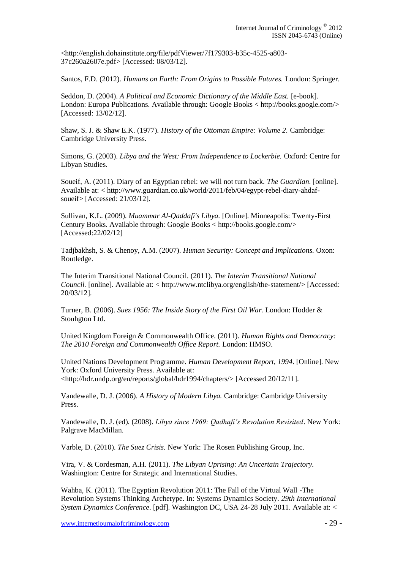<http://english.dohainstitute.org/file/pdfViewer/7f179303-b35c-4525-a803- 37c260a2607e.pdf> [Accessed: 08/03/12].

Santos, F.D. (2012). *Humans on Earth: From Origins to Possible Futures.* London: Springer.

Seddon, D. (2004). *A Political and Economic Dictionary of the Middle East.* [e-book]. London: Europa Publications. Available through: Google Books < http://books.google.com/> [Accessed: 13/02/12].

Shaw, S. J. & Shaw E.K. (1977). *History of the Ottoman Empire: Volume 2.* Cambridge: Cambridge University Press.

Simons, G. (2003). *Libya and the West: From Independence to Lockerbie.* Oxford: Centre for Libyan Studies.

Soueif, A. (2011). Diary of an Egyptian rebel: we will not turn back. *The Guardian.* [online]. Available at: < http://www.guardian.co.uk/world/2011/feb/04/egypt-rebel-diary-ahdafsoueif> [Accessed: 21/03/12].

Sullivan, K.L. (2009). *Muammar Al-Qaddafi's Libya.* [Online]. Minneapolis: Twenty-First Century Books. Available through: Google Books < http://books.google.com/> [Accessed:22/02/12]

Tadjbakhsh, S. & Chenoy, A.M. (2007). *Human Security: Concept and Implications.* Oxon: Routledge.

The Interim Transitional National Council. (2011). *The Interim Transitional National Council.* [online]. Available at: < http://www.ntclibya.org/english/the-statement/> [Accessed: 20/03/12].

Turner, B. (2006). *Suez 1956: The Inside Story of the First Oil War.* London: Hodder & Stouhgton Ltd.

United Kingdom Foreign & Commonwealth Office. (2011). *Human Rights and Democracy: The 2010 Foreign and Commonwealth Office Report.* London: HMSO.

United Nations Development Programme. *Human Development Report, 1994*. [Online]. New York: Oxford University Press. Available at: <http://hdr.undp.org/en/reports/global/hdr1994/chapters/> [Accessed 20/12/11].

Vandewalle, D. J. (2006). *A History of Modern Libya.* Cambridge: Cambridge University Press.

Vandewalle, D. J. (ed). (2008). *Libya since 1969: Qadhafi's Revolution Revisited*. New York: Palgrave MacMillan.

Varble, D. (2010). *The Suez Crisis.* New York: The Rosen Publishing Group, Inc.

Vira, V. & Cordesman, A.H. (2011). *The Libyan Uprising: An Uncertain Trajectory.* Washington: Centre for Strategic and International Studies.

Wahba, K. (2011). The Egyptian Revolution 2011: The Fall of the Virtual Wall -The Revolution Systems Thinking Archetype. In: Systems Dynamics Society. *29th International System Dynamics Conference*. [pdf]. Washington DC, USA 24-28 July 2011. Available at: <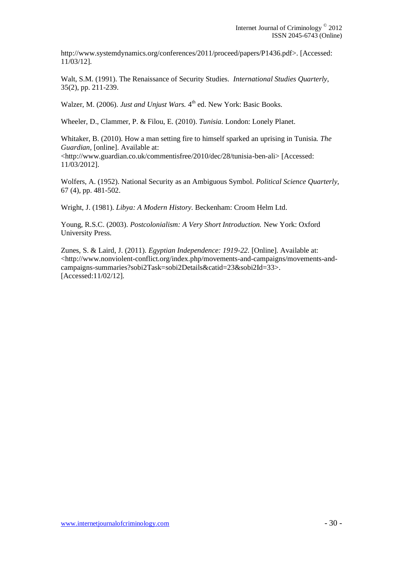http://www.systemdynamics.org/conferences/2011/proceed/papers/P1436.pdf>. [Accessed: 11/03/12].

Walt, S.M. (1991). The Renaissance of Security Studies. *International Studies Quarterly*, 35(2), pp. 211-239.

Walzer, M. (2006). *Just and Unjust Wars*. 4<sup>th</sup> ed. New York: Basic Books.

Wheeler, D., Clammer, P. & Filou, E. (2010). *Tunisia.* London: Lonely Planet.

Whitaker, B. (2010). How a man setting fire to himself sparked an uprising in Tunisia*. The Guardian,* [online]. Available at: <http://www.guardian.co.uk/commentisfree/2010/dec/28/tunisia-ben-ali> [Accessed: 11/03/2012].

Wolfers, A. (1952). National Security as an Ambiguous Symbol. *Political Science Quarterly,*  67 (4), pp. 481-502.

Wright, J. (1981). *Libya: A Modern History.* Beckenham: Croom Helm Ltd.

Young, R.S.C. (2003). *Postcolonialism: A Very Short Introduction.* New York: Oxford University Press.

Zunes, S. & Laird, J. (2011). *Egyptian Independence: 1919-22.* [Online]. Available at: <http://www.nonviolent-conflict.org/index.php/movements-and-campaigns/movements-andcampaigns-summaries?sobi2Task=sobi2Details&catid=23&sobi2Id=33>. [Accessed:11/02/12].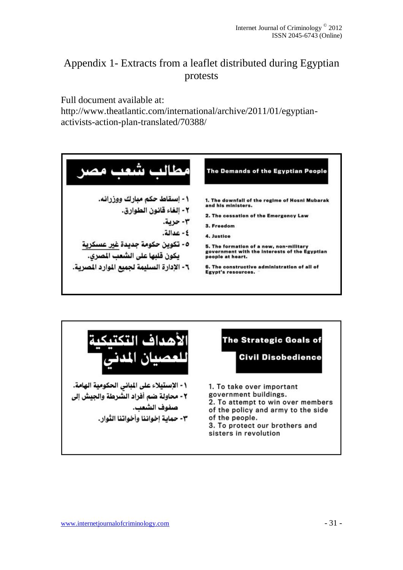# Appendix 1- Extracts from a leaflet distributed during Egyptian protests

Full document available at:

[http://www.theatlantic.com/international/archive/2011/01/egyptian](http://www.theatlantic.com/international/archive/2011/01/egyptian-activists-action-plan-translated/70388/)[activists-action-plan-translated/70388/](http://www.theatlantic.com/international/archive/2011/01/egyptian-activists-action-plan-translated/70388/)



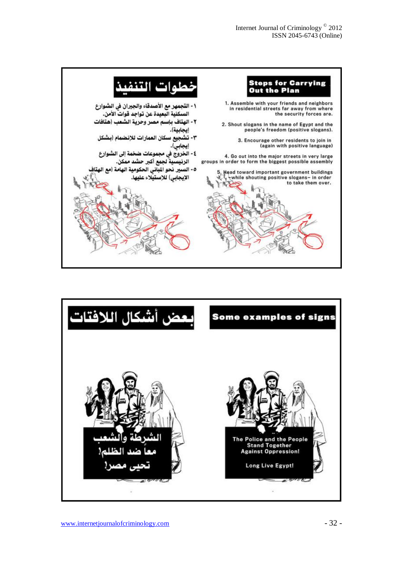